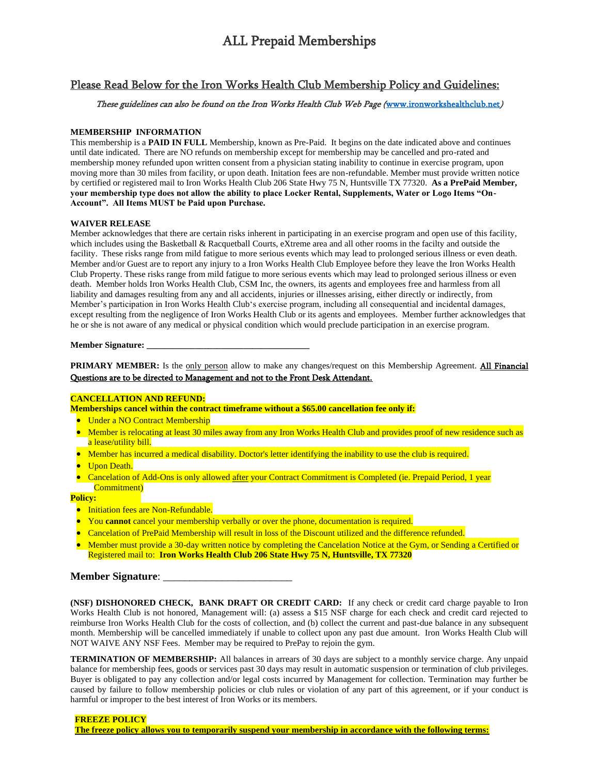# ALL Prepaid Memberships

# Please Read Below for the Iron Works Health Club Membership Policy and Guidelines:

# These guidelines can also be found on the Iron Works Health Club Web Page ([www.ironworkshealthclub.net](http://www.ironworkshealthclub.net/))

# **MEMBERSHIP INFORMATION**

This membership is a **PAID IN FULL** Membership, known as Pre-Paid. It begins on the date indicated above and continues until date indicated. There are NO refunds on membership except for membership may be cancelled and pro-rated and membership money refunded upon written consent from a physician stating inability to continue in exercise program, upon moving more than 30 miles from facility, or upon death. Initation fees are non-refundable. Member must provide written notice by certified or registered mail to Iron Works Health Club 206 State Hwy 75 N, Huntsville TX 77320. **As a PrePaid Member, your membership type does not allow the ability to place Locker Rental, Supplements, Water or Logo Items "On-Account". All Items MUST be Paid upon Purchase.**

#### **WAIVER RELEASE**

Member acknowledges that there are certain risks inherent in participating in an exercise program and open use of this facility, which includes using the Basketball & Racquetball Courts, eXtreme area and all other rooms in the facilty and outside the facility. These risks range from mild fatigue to more serious events which may lead to prolonged serious illness or even death. Member and/or Guest are to report any injury to a Iron Works Health Club Employee before they leave the Iron Works Health Club Property. These risks range from mild fatigue to more serious events which may lead to prolonged serious illness or even death. Member holds Iron Works Health Club, CSM Inc, the owners, its agents and employees free and harmless from all liability and damages resulting from any and all accidents, injuries or illnesses arising, either directly or indirectly, from Member's participation in Iron Works Health Club's exercise program, including all consequential and incidental damages, except resulting from the negligence of Iron Works Health Club or its agents and employees. Member further acknowledges that he or she is not aware of any medical or physical condition which would preclude participation in an exercise program.

#### **Member Signature: \_\_\_\_\_\_\_\_\_\_\_\_\_\_\_\_\_\_\_\_\_\_\_\_\_\_\_\_\_\_\_\_\_\_\_\_\_**

**PRIMARY MEMBER:** Is the only person allow to make any changes/request on this Membership Agreement. All Financial Questions are to be directed to Management and not to the Front Desk Attendant.

### **CANCELLATION AND REFUND:**

**Memberships cancel within the contract timeframe without a \$65.00 cancellation fee only if:**

- Under a NO Contract Membership
- Member is relocating at least 30 miles away from any Iron Works Health Club and provides proof of new residence such as a lease/utility bill.
- Member has incurred a medical disability. Doctor's letter identifying the inability to use the club is required.
- Upon Death.
- Cancelation of Add-Ons is only allowed after your Contract Commitment is Completed (ie. Prepaid Period, 1 year Commitment)

# **Policy:**

- Initiation fees are Non-Refundable.
- You **cannot** cancel your membership verbally or over the phone, documentation is required.
- Cancelation of PrePaid Membership will result in loss of the Discount utilized and the difference refunded.
- Member must provide a 30-day written notice by completing the Cancelation Notice at the Gym, or Sending a Certified or Registered mail to: **Iron Works Health Club 206 State Hwy 75 N, Huntsville, TX 77320**

# **Member Signature:**

**(NSF) DISHONORED CHECK, BANK DRAFT OR CREDIT CARD:** If any check or credit card charge payable to Iron Works Health Club is not honored, Management will: (a) assess a \$15 NSF charge for each check and credit card rejected to reimburse Iron Works Health Club for the costs of collection, and (b) collect the current and past-due balance in any subsequent month. Membership will be cancelled immediately if unable to collect upon any past due amount. Iron Works Health Club will NOT WAIVE ANY NSF Fees. Member may be required to PrePay to rejoin the gym.

**TERMINATION OF MEMBERSHIP:** All balances in arrears of 30 days are subject to a monthly service charge. Any unpaid balance for membership fees, goods or services past 30 days may result in automatic suspension or termination of club privileges. Buyer is obligated to pay any collection and/or legal costs incurred by Management for collection. Termination may further be caused by failure to follow membership policies or club rules or violation of any part of this agreement, or if your conduct is harmful or improper to the best interest of Iron Works or its members.

**FREEZE POLICY The freeze policy allows you to temporarily suspend your membership in accordance with the following terms:**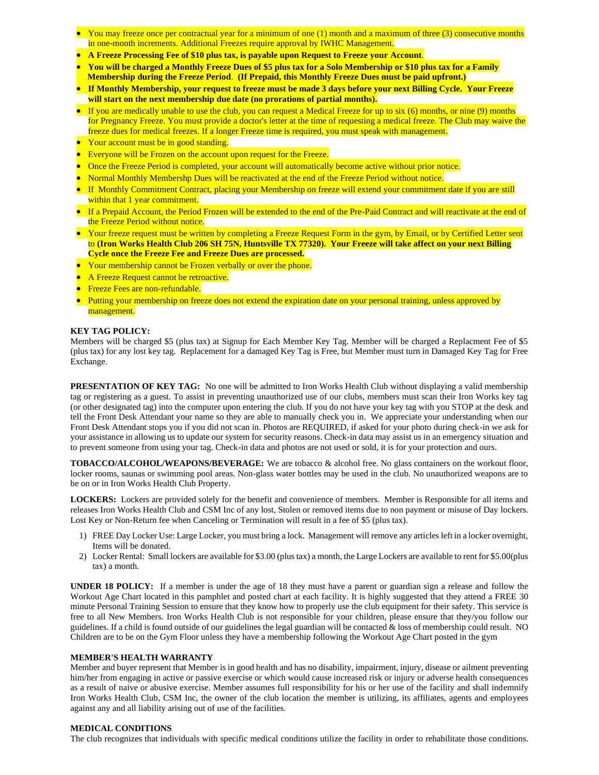- You may freeze once per contractual year for a minimum of one (1) month and a maximum of three (3) consecutive months in one-month increments. Additional Freezes require approval by IWHC Management.
- **A Freeze Processing Fee of \$10 plus tax, is payable upon Request to Freeze your Account**.
- **You will be charged a Monthly Freeze Dues of \$5 plus tax for a Solo Membership or \$10 plus tax for a Family**
- **Membership during the Freeze Period**. **(If Prepaid, this Monthly Freeze Dues must be paid upfront.)**
- **If Monthly Membership, your request to freeze must be made 3 days before your next Billing Cycle. Your Freeze will start on the next membership due date (no prorations of partial months).**
- If you are medically unable to use the club, you can request a Medical Freeze for up to six (6) months, or nine (9) months for Pregnancy Freeze. You must provide a doctor's letter at the time of requesting a medical freeze. The Club may waive the freeze dues for medical freezes. If a longer Freeze time is required, you must speak with management.
- Your account must be in good standing.
- Everyone will be Frozen on the account upon request for the Freeze.
- Once the Freeze Period is completed, your account will automatically become active without prior notice.
- Normal Monthly Membershp Dues will be reactivated at the end of the Freeze Period without notice.
- If Monthly Commitment Contract, placing your Membership on freeze will extend your commitment date if you are still within that 1 year commitment.
- If a Prepaid Account, the Period Frozen will be extended to the end of the Pre-Paid Contract and will reactivate at the end of the Freeze Period without notice.
- Your freeze request must be written by completing a Freeze Request Form in the gym, by Email, or by Certified Letter sent to **(Iron Works Health Club 206 SH 75N, Huntsville TX 77320). Your Freeze will take affect on your next Billing Cycle once the Freeze Fee and Freeze Dues are processed.**
- Your membership cannot be Frozen verbally or over the phone.
- A Freeze Request cannot be retroactive.
- Freeze Fees are non-refundable.
- Putting your membership on freeze does not extend the expiration date on your personal training, unless approved by management.

# **KEY TAG POLICY:**

Members will be charged \$5 (plus tax) at Signup for Each Member Key Tag. Member will be charged a Replacment Fee of \$5 (plus tax) for any lost key tag. Replacement for a damaged Key Tag is Free, but Member must turn in Damaged Key Tag for Free Exchange.

**PRESENTATION OF KEY TAG:** No one will be admitted to Iron Works Health Club without displaying a valid membership tag or registering as a guest. To assist in preventing unauthorized use of our clubs, members must scan their Iron Works key tag (or other designated tag) into the computer upon entering the club. If you do not have your key tag with you STOP at the desk and tell the Front Desk Attendant your name so they are able to manually check you in. We appreciate your understanding when our Front Desk Attendant stops you if you did not scan in. Photos are REQUIRED, if asked for your photo during check-in we ask for your assistance in allowing us to update our system for security reasons. Check-in data may assist us in an emergency situation and to prevent someone from using your tag. Check-in data and photos are not used or sold, it is for your protection and ours.

**TOBACCO/ALCOHOL/WEAPONS/BEVERAGE:** We are tobacco & alcohol free. No glass containers on the workout floor, locker rooms, saunas or swimming pool areas. Non-glass water bottles may be used in the club. No unauthorized weapons are to be on or in Iron Works Health Club Property.

**LOCKERS:** Lockers are provided solely for the benefit and convenience of members. Member is Responsible for all items and releases Iron Works Health Club and CSM Inc of any lost, Stolen or removed items due to non payment or misuse of Day lockers. Lost Key or Non-Return fee when Canceling or Termination will result in a fee of \$5 (plus tax).

- 1) FREE Day Locker Use: Large Locker, you must bring a lock. Management will remove any articles left in a locker overnight, Items will be donated.
- 2) Locker Rental: Small lockers are available for \$3.00 (plus tax) a month, the Large Lockers are available to rent for \$5.00(plus tax) a month.

**UNDER 18 POLICY:** If a member is under the age of 18 they must have a parent or guardian sign a release and follow the Workout Age Chart located in this pamphlet and posted chart at each facility. It is highly suggested that they attend a FREE 30 minute Personal Training Session to ensure that they know how to properly use the club equipment for their safety. This service is free to all New Members. Iron Works Health Club is not responsible for your children, please ensure that they/you follow our guidelines. If a child is found outside of our guidelines the legal guardian will be contacted  $\&$  loss of membership could result. NO Children are to be on the Gym Floor unless they have a membership following the Workout Age Chart posted in the gym

#### **MEMBER'S HEALTH WARRANTY**

Member and buyer represent that Member is in good health and has no disability, impairment, injury, disease or ailment preventing him/her from engaging in active or passive exercise or which would cause increased risk or injury or adverse health consequences as a result of naive or abusive exercise. Member assumes full responsibility for his or her use of the facility and shall indemnify Iron Works Health Club, CSM Inc, the owner of the club location the member is utilizing, its affiliates, agents and employees against any and all liability arising out of use of the facilities.

#### **MEDICAL CONDITIONS**

The club recognizes that individuals with specific medical conditions utilize the facility in order to rehabilitate those conditions.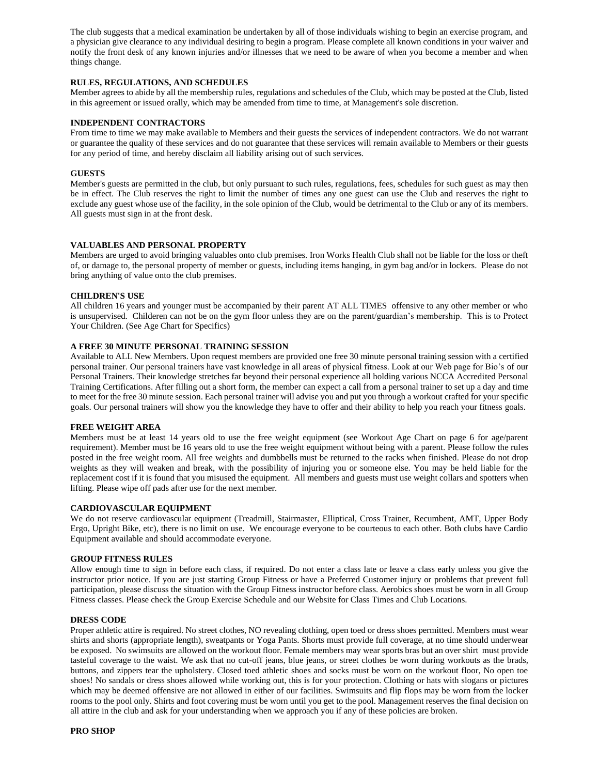The club suggests that a medical examination be undertaken by all of those individuals wishing to begin an exercise program, and a physician give clearance to any individual desiring to begin a program. Please complete all known conditions in your waiver and notify the front desk of any known injuries and/or illnesses that we need to be aware of when you become a member and when things change.

# **RULES, REGULATIONS, AND SCHEDULES**

Member agrees to abide by all the membership rules, regulations and schedules of the Club, which may be posted at the Club, listed in this agreement or issued orally, which may be amended from time to time, at Management's sole discretion.

### **INDEPENDENT CONTRACTORS**

From time to time we may make available to Members and their guests the services of independent contractors. We do not warrant or guarantee the quality of these services and do not guarantee that these services will remain available to Members or their guests for any period of time, and hereby disclaim all liability arising out of such services.

# **GUESTS**

Member's guests are permitted in the club, but only pursuant to such rules, regulations, fees, schedules for such guest as may then be in effect. The Club reserves the right to limit the number of times any one guest can use the Club and reserves the right to exclude any guest whose use of the facility, in the sole opinion of the Club, would be detrimental to the Club or any of its members. All guests must sign in at the front desk.

# **VALUABLES AND PERSONAL PROPERTY**

Members are urged to avoid bringing valuables onto club premises. Iron Works Health Club shall not be liable for the loss or theft of, or damage to, the personal property of member or guests, including items hanging, in gym bag and/or in lockers. Please do not bring anything of value onto the club premises.

# **CHILDREN'S USE**

All children 16 years and younger must be accompanied by their parent AT ALL TIMES offensive to any other member or who is unsupervised. Childeren can not be on the gym floor unless they are on the parent/guardian's membership. This is to Protect Your Children. (See Age Chart for Specifics)

# **A FREE 30 MINUTE PERSONAL TRAINING SESSION**

Available to ALL New Members. Upon request members are provided one free 30 minute personal training session with a certified personal trainer. Our personal trainers have vast knowledge in all areas of physical fitness. Look at our Web page for Bio's of our Personal Trainers. Their knowledge stretches far beyond their personal experience all holding various NCCA Accredited Personal Training Certifications. After filling out a short form, the member can expect a call from a personal trainer to set up a day and time to meet for the free 30 minute session. Each personal trainer will advise you and put you through a workout crafted for your specific goals. Our personal trainers will show you the knowledge they have to offer and their ability to help you reach your fitness goals.

#### **FREE WEIGHT AREA**

Members must be at least 14 years old to use the free weight equipment (see Workout Age Chart on page 6 for age/parent requirement). Member must be 16 years old to use the free weight equipment without being with a parent. Please follow the rules posted in the free weight room. All free weights and dumbbells must be returned to the racks when finished. Please do not drop weights as they will weaken and break, with the possibility of injuring you or someone else. You may be held liable for the replacement cost if it is found that you misused the equipment. All members and guests must use weight collars and spotters when lifting. Please wipe off pads after use for the next member.

#### **CARDIOVASCULAR EQUIPMENT**

We do not reserve cardiovascular equipment (Treadmill, Stairmaster, Elliptical, Cross Trainer, Recumbent, AMT, Upper Body Ergo, Upright Bike, etc), there is no limit on use. We encourage everyone to be courteous to each other. Both clubs have Cardio Equipment available and should accommodate everyone.

#### **GROUP FITNESS RULES**

Allow enough time to sign in before each class, if required. Do not enter a class late or leave a class early unless you give the instructor prior notice. If you are just starting Group Fitness or have a Preferred Customer injury or problems that prevent full participation, please discuss the situation with the Group Fitness instructor before class. Aerobics shoes must be worn in all Group Fitness classes. Please check the Group Exercise Schedule and our Website for Class Times and Club Locations.

#### **DRESS CODE**

Proper athletic attire is required. No street clothes, NO revealing clothing, open toed or dress shoes permitted. Members must wear shirts and shorts (appropriate length), sweatpants or Yoga Pants. Shorts must provide full coverage, at no time should underwear be exposed. No swimsuits are allowed on the workout floor. Female members may wear sports bras but an over shirt must provide tasteful coverage to the waist. We ask that no cut-off jeans, blue jeans, or street clothes be worn during workouts as the brads, buttons, and zippers tear the upholstery. Closed toed athletic shoes and socks must be worn on the workout floor, No open toe shoes! No sandals or dress shoes allowed while working out, this is for your protection. Clothing or hats with slogans or pictures which may be deemed offensive are not allowed in either of our facilities. Swimsuits and flip flops may be worn from the locker rooms to the pool only. Shirts and foot covering must be worn until you get to the pool. Management reserves the final decision on all attire in the club and ask for your understanding when we approach you if any of these policies are broken.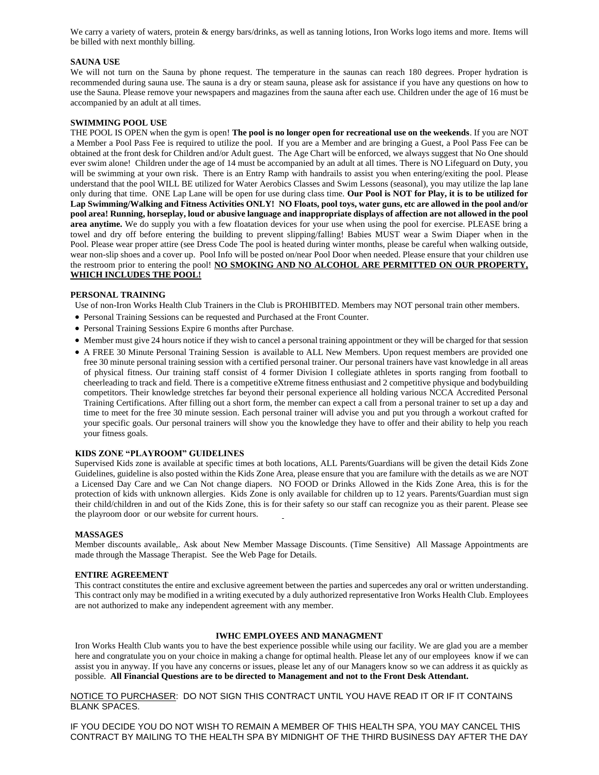We carry a variety of waters, protein & energy bars/drinks, as well as tanning lotions, Iron Works logo items and more. Items will be billed with next monthly billing.

# **SAUNA USE**

We will not turn on the Sauna by phone request. The temperature in the saunas can reach 180 degrees. Proper hydration is recommended during sauna use. The sauna is a dry or steam sauna, please ask for assistance if you have any questions on how to use the Sauna. Please remove your newspapers and magazines from the sauna after each use. Children under the age of 16 must be accompanied by an adult at all times.

### **SWIMMING POOL USE**

THE POOL IS OPEN when the gym is open! **The pool is no longer open for recreational use on the weekends**. If you are NOT a Member a Pool Pass Fee is required to utilize the pool. If you are a Member and are bringing a Guest, a Pool Pass Fee can be obtained at the front desk for Children and/or Adult guest. The Age Chart will be enforced, we always suggest that No One should ever swim alone! Children under the age of 14 must be accompanied by an adult at all times. There is NO Lifeguard on Duty, you will be swimming at your own risk. There is an Entry Ramp with handrails to assist you when entering/exiting the pool. Please understand that the pool WILL BE utilized for Water Aerobics Classes and Swim Lessons (seasonal), you may utilize the lap lane only during that time. ONE Lap Lane will be open for use during class time. **Our Pool is NOT for Play, it is to be utilized for Lap Swimming/Walking and Fitness Activities ONLY! NO Floats, pool toys, water guns, etc are allowed in the pool and/or pool area! Running, horseplay, loud or abusive language and inappropriate displays of affection are not allowed in the pool area anytime.** We do supply you with a few floatation devices for your use when using the pool for exercise. PLEASE bring a towel and dry off before entering the building to prevent slipping/falling! Babies MUST wear a Swim Diaper when in the Pool. Please wear proper attire (see Dress Code The pool is heated during winter months, please be careful when walking outside, wear non-slip shoes and a cover up. Pool Info will be posted on/near Pool Door when needed. Please ensure that your children use the restroom prior to entering the pool! **NO SMOKING AND NO ALCOHOL ARE PERMITTED ON OUR PROPERTY, WHICH INCLUDES THE POOL!**

# **PERSONAL TRAINING**

Use of non-Iron Works Health Club Trainers in the Club is PROHIBITED. Members may NOT personal train other members.

- Personal Training Sessions can be requested and Purchased at the Front Counter.
- Personal Training Sessions Expire 6 months after Purchase.
- Member must give 24 hours notice if they wish to cancel a personal training appointment or they will be charged for that session
- A FREE 30 Minute Personal Training Session is available to ALL New Members. Upon request members are provided one free 30 minute personal training session with a certified personal trainer. Our personal trainers have vast knowledge in all areas of physical fitness. Our training staff consist of 4 former Division I collegiate athletes in sports ranging from football to cheerleading to track and field. There is a competitive eXtreme fitness enthusiast and 2 competitive physique and bodybuilding competitors. Their knowledge stretches far beyond their personal experience all holding various NCCA Accredited Personal Training Certifications. After filling out a short form, the member can expect a call from a personal trainer to set up a day and time to meet for the free 30 minute session. Each personal trainer will advise you and put you through a workout crafted for your specific goals. Our personal trainers will show you the knowledge they have to offer and their ability to help you reach your fitness goals.

#### **KIDS ZONE "PLAYROOM" GUIDELINES**

Supervised Kids zone is available at specific times at both locations, ALL Parents/Guardians will be given the detail Kids Zone Guidelines, guideline is also posted within the Kids Zone Area, please ensure that you are familure with the details as we are NOT a Licensed Day Care and we Can Not change diapers. NO FOOD or Drinks Allowed in the Kids Zone Area, this is for the protection of kids with unknown allergies. Kids Zone is only available for children up to 12 years. Parents/Guardian must sign their child/children in and out of the Kids Zone, this is for their safety so our staff can recognize you as their parent. Please see the playroom door or our website for current hours.

#### **MASSAGES**

Member discounts available,. Ask about New Member Massage Discounts. (Time Sensitive) All Massage Appointments are made through the Massage Therapist. See the Web Page for Details.

# **ENTIRE AGREEMENT**

This contract constitutes the entire and exclusive agreement between the parties and supercedes any oral or written understanding. This contract only may be modified in a writing executed by a duly authorized representative Iron Works Health Club. Employees are not authorized to make any independent agreement with any member.

#### **IWHC EMPLOYEES AND MANAGMENT**

Iron Works Health Club wants you to have the best experience possible while using our facility. We are glad you are a member here and congratulate you on your choice in making a change for optimal health. Please let any of our employees know if we can assist you in anyway. If you have any concerns or issues, please let any of our Managers know so we can address it as quickly as possible. **All Financial Questions are to be directed to Management and not to the Front Desk Attendant.**

NOTICE TO PURCHASER: DO NOT SIGN THIS CONTRACT UNTIL YOU HAVE READ IT OR IF IT CONTAINS BLANK SPACES.

IF YOU DECIDE YOU DO NOT WISH TO REMAIN A MEMBER OF THIS HEALTH SPA, YOU MAY CANCEL THIS CONTRACT BY MAILING TO THE HEALTH SPA BY MIDNIGHT OF THE THIRD BUSINESS DAY AFTER THE DAY